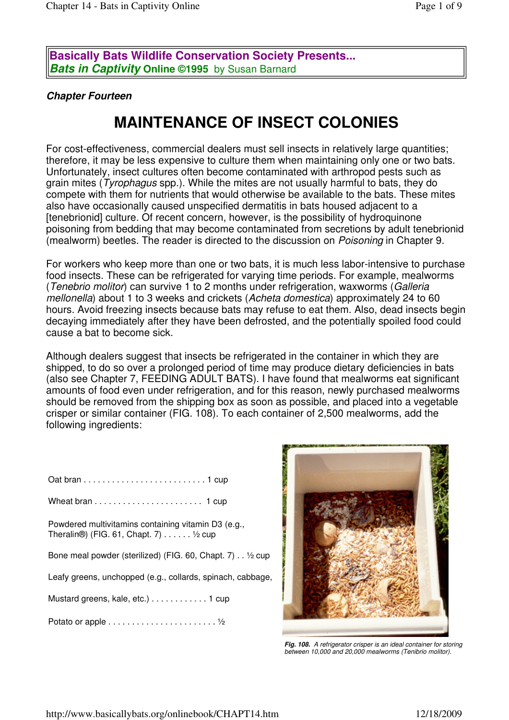**Basically Bats Wildlife Conservation Society Presents... Bats in Captivity Online ©1995** by Susan Barnard

#### **Chapter Fourteen**

# **MAINTENANCE OF INSECT COLONIES**

For cost-effectiveness, commercial dealers must sell insects in relatively large quantities; therefore, it may be less expensive to culture them when maintaining only one or two bats. Unfortunately, insect cultures often become contaminated with arthropod pests such as grain mites (Tyrophagus spp.). While the mites are not usually harmful to bats, they do compete with them for nutrients that would otherwise be available to the bats. These mites also have occasionally caused unspecified dermatitis in bats housed adjacent to a [tenebrionid] culture. Of recent concern, however, is the possibility of hydroquinone poisoning from bedding that may become contaminated from secretions by adult tenebrionid (mealworm) beetles. The reader is directed to the discussion on Poisoning in Chapter 9.

For workers who keep more than one or two bats, it is much less labor-intensive to purchase food insects. These can be refrigerated for varying time periods. For example, mealworms (Tenebrio molitor) can survive 1 to 2 months under refrigeration, waxworms (Galleria mellonella) about 1 to 3 weeks and crickets (Acheta domestica) approximately 24 to 60 hours. Avoid freezing insects because bats may refuse to eat them. Also, dead insects begin decaying immediately after they have been defrosted, and the potentially spoiled food could cause a bat to become sick.

Although dealers suggest that insects be refrigerated in the container in which they are shipped, to do so over a prolonged period of time may produce dietary deficiencies in bats (also see Chapter 7, FEEDING ADULT BATS). I have found that mealworms eat significant amounts of food even under refrigeration, and for this reason, newly purchased mealworms should be removed from the shipping box as soon as possible, and placed into a vegetable crisper or similar container (FIG. 108). To each container of 2,500 mealworms, add the following ingredients:

| Powdered multivitamins containing vitamin D3 (e.g.,<br>Theralin <sup>®</sup> ) (FIG. 61, Chapt. 7) $\ldots \ldots \frac{1}{2}$ cup |
|------------------------------------------------------------------------------------------------------------------------------------|
| Bone meal powder (sterilized) (FIG. 60, Chapt. 7). V2 cup                                                                          |
| Leafy greens, unchopped (e.g., collards, spinach, cabbage,                                                                         |
| Mustard greens, kale, etc.) 1 cup                                                                                                  |
|                                                                                                                                    |



**Fig. 108.** A refrigerator crisper is an ideal container for storing between 10,000 and 20,000 mealworms (Tenibrio molitor).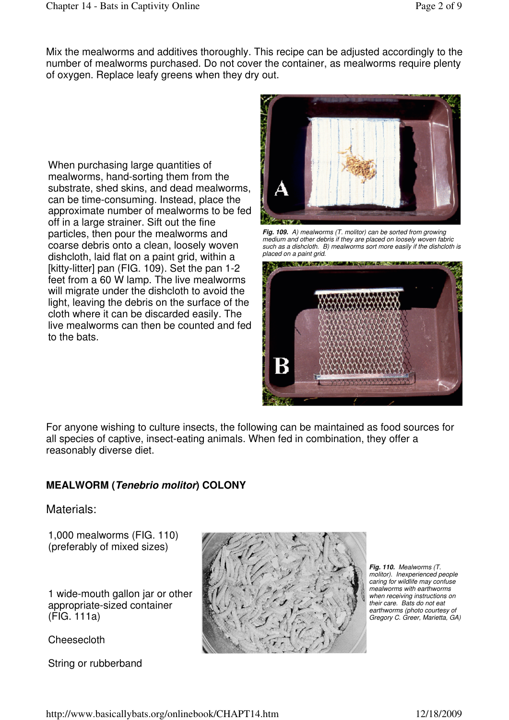Mix the mealworms and additives thoroughly. This recipe can be adjusted accordingly to the number of mealworms purchased. Do not cover the container, as mealworms require plenty of oxygen. Replace leafy greens when they dry out.

When purchasing large quantities of mealworms, hand-sorting them from the substrate, shed skins, and dead mealworms, can be time-consuming. Instead, place the approximate number of mealworms to be fed off in a large strainer. Sift out the fine particles, then pour the mealworms and coarse debris onto a clean, loosely woven dishcloth, laid flat on a paint grid, within a [kitty-litter] pan (FIG. 109). Set the pan 1-2 feet from a 60 W lamp. The live mealworms will migrate under the dishcloth to avoid the light, leaving the debris on the surface of the cloth where it can be discarded easily. The live mealworms can then be counted and fed to the bats.



**Fig. 109.** A) mealworms (T. molitor) can be sorted from growing medium and other debris if they are placed on loosely woven fabric such as a dishcloth. B) mealworms sort more easily if the dishcloth is placed on a paint grid.



For anyone wishing to culture insects, the following can be maintained as food sources for all species of captive, insect-eating animals. When fed in combination, they offer a reasonably diverse diet.

# **MEALWORM (Tenebrio molitor) COLONY**

#### Materials:

1,000 mealworms (FIG. 110) (preferably of mixed sizes)

1 wide-mouth gallon jar or other appropriate-sized container (FIG. 111a)

Cheesecloth

String or rubberband



**Fig. 110.** Mealworms (T. molitor). Inexperienced people caring for wildlife may confuse mealworms with earthworms when receiving instructions on their care. Bats do not eat earthworms (photo courtesy of Gregory C. Greer, Marietta, GA)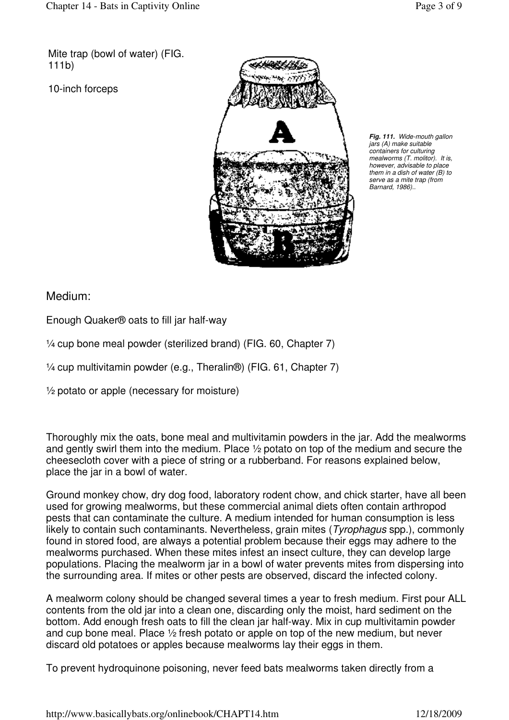Mite trap (bowl of water) (FIG. 111b)

10-inch forceps



**Fig. 111.** Wide-mouth gallon jars (A) make suitable containers for culturing mealworms (T. molitor). It is, however, advisable to place them in a dish of water (B) to serve as a mite trap (from Barnard, 1986)..

# Medium:

Enough Quaker® oats to fill jar half-way

¼ cup bone meal powder (sterilized brand) (FIG. 60, Chapter 7)

¼ cup multivitamin powder (e.g., Theralin®) (FIG. 61, Chapter 7)

 $\frac{1}{2}$  potato or apple (necessary for moisture)

Thoroughly mix the oats, bone meal and multivitamin powders in the jar. Add the mealworms and gently swirl them into the medium. Place ½ potato on top of the medium and secure the cheesecloth cover with a piece of string or a rubberband. For reasons explained below, place the jar in a bowl of water.

Ground monkey chow, dry dog food, laboratory rodent chow, and chick starter, have all been used for growing mealworms, but these commercial animal diets often contain arthropod pests that can contaminate the culture. A medium intended for human consumption is less likely to contain such contaminants. Nevertheless, grain mites (*Tyrophagus* spp.), commonly found in stored food, are always a potential problem because their eggs may adhere to the mealworms purchased. When these mites infest an insect culture, they can develop large populations. Placing the mealworm jar in a bowl of water prevents mites from dispersing into the surrounding area. If mites or other pests are observed, discard the infected colony.

A mealworm colony should be changed several times a year to fresh medium. First pour ALL contents from the old jar into a clean one, discarding only the moist, hard sediment on the bottom. Add enough fresh oats to fill the clean jar half-way. Mix in cup multivitamin powder and cup bone meal. Place ½ fresh potato or apple on top of the new medium, but never discard old potatoes or apples because mealworms lay their eggs in them.

To prevent hydroquinone poisoning, never feed bats mealworms taken directly from a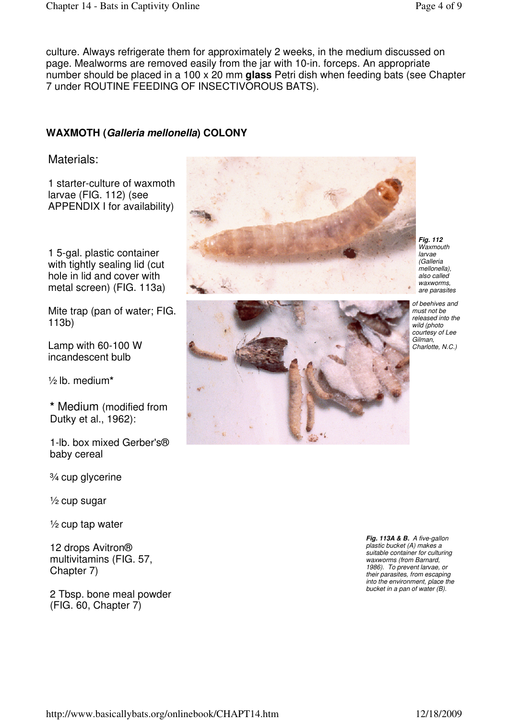culture. Always refrigerate them for approximately 2 weeks, in the medium discussed on page. Mealworms are removed easily from the jar with 10-in. forceps. An appropriate number should be placed in a 100 x 20 mm **glass** Petri dish when feeding bats (see Chapter 7 under ROUTINE FEEDING OF INSECTIVOROUS BATS).

## **WAXMOTH (Galleria mellonella) COLONY**

#### Materials:

1 starter-culture of waxmoth larvae (FIG. 112) (see APPENDIX I for availability)

1 5-gal. plastic container with tightly sealing lid (cut) hole in lid and cover with metal screen) (FIG. 113a)

Mite trap (pan of water; FIG. 113b)

Lamp with 60-100 W incandescent bulb

½ lb. medium**\*** 

**\*** Medium (modified from Dutky et al., 1962):

1-lb. box mixed Gerber's® baby cereal

¾ cup glycerine

 $\frac{1}{2}$  cup sugar

 $\frac{1}{2}$  cup tap water

12 drops Avitron® multivitamins (FIG. 57, Chapter 7)

2 Tbsp. bone meal powder (FIG. 60, Chapter 7)



**Fig. 112**  Waxmouth larvae (Galleria mellonella), also called waxworms, are parasites



of beehives and must not be released into the wild (photo courtesy of Lee Gilman, Charlotte, N.C.)

**Fig. 113A & B.** A five-gallon plastic bucket (A) makes a suitable container for culturing waxworms (from Barnard, 1986). To prevent larvae, or their parasites, from escaping into the environment, place the bucket in a pan of water (B).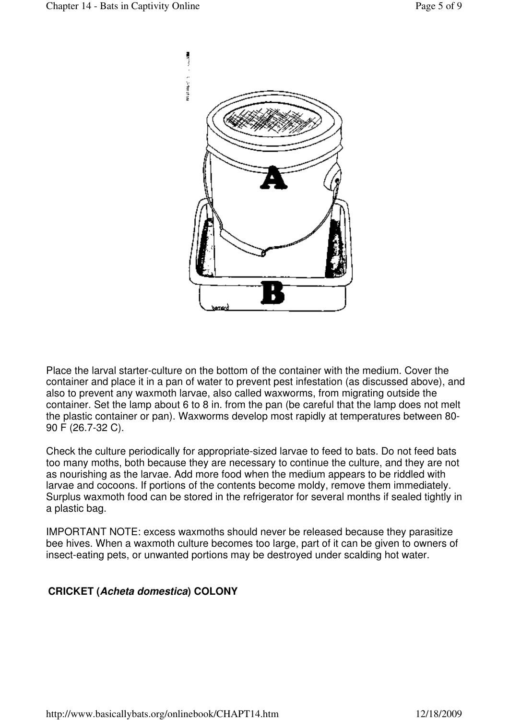

Place the larval starter-culture on the bottom of the container with the medium. Cover the container and place it in a pan of water to prevent pest infestation (as discussed above), and also to prevent any waxmoth larvae, also called waxworms, from migrating outside the container. Set the lamp about 6 to 8 in. from the pan (be careful that the lamp does not melt the plastic container or pan). Waxworms develop most rapidly at temperatures between 80- 90 F (26.7-32 C).

Check the culture periodically for appropriate-sized larvae to feed to bats. Do not feed bats too many moths, both because they are necessary to continue the culture, and they are not as nourishing as the larvae. Add more food when the medium appears to be riddled with larvae and cocoons. If portions of the contents become moldy, remove them immediately. Surplus waxmoth food can be stored in the refrigerator for several months if sealed tightly in a plastic bag.

IMPORTANT NOTE: excess waxmoths should never be released because they parasitize bee hives. When a waxmoth culture becomes too large, part of it can be given to owners of insect-eating pets, or unwanted portions may be destroyed under scalding hot water.

## **CRICKET (Acheta domestica) COLONY**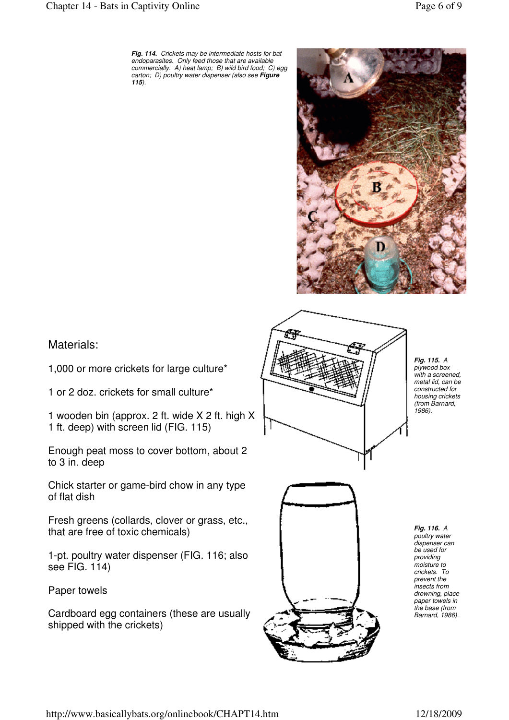#### Chapter 14 - Bats in Captivity Online Page 6 of 9



Materials:

1,000 or more crickets for large culture\*

1 or 2 doz. crickets for small culture\*

1 wooden bin (approx. 2 ft. wide X 2 ft. high X 1 ft. deep) with screen lid (FIG. 115)

Enough peat moss to cover bottom, about 2 to 3 in. deep

Chick starter or game-bird chow in any type of flat dish

Fresh greens (collards, clover or grass, etc., that are free of toxic chemicals)

1-pt. poultry water dispenser (FIG. 116; also see FIG. 114)

Paper towels

Cardboard egg containers (these are usually shipped with the crickets)



**Fig. 115.** A plywood box with a screened, metal lid, can be constructed for housing crickets (from Barnard, 1986).

**Fig. 116.** A poultry water dispenser can be used for providing moisture to crickets. To prevent the insects from drowning, place paper towels in the base (from Barnard, 1986).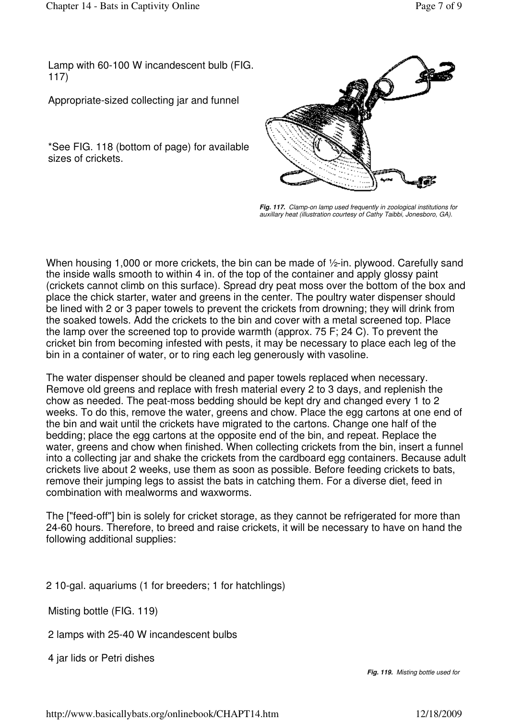Lamp with 60-100 W incandescent bulb (FIG. 117)

Appropriate-sized collecting jar and funnel

\*See FIG. 118 (bottom of page) for available sizes of crickets.



**Fig. 117.** Clamp-on lamp used frequently in zoological institutions for auxillary heat (illustration courtesy of Cathy Taibbi, Jonesboro, GA).

When housing 1,000 or more crickets, the bin can be made of  $\frac{1}{2}$ -in. plywood. Carefully sand the inside walls smooth to within 4 in. of the top of the container and apply glossy paint (crickets cannot climb on this surface). Spread dry peat moss over the bottom of the box and place the chick starter, water and greens in the center. The poultry water dispenser should be lined with 2 or 3 paper towels to prevent the crickets from drowning; they will drink from the soaked towels. Add the crickets to the bin and cover with a metal screened top. Place the lamp over the screened top to provide warmth (approx. 75 F; 24 C). To prevent the cricket bin from becoming infested with pests, it may be necessary to place each leg of the bin in a container of water, or to ring each leg generously with vasoline.

The water dispenser should be cleaned and paper towels replaced when necessary. Remove old greens and replace with fresh material every 2 to 3 days, and replenish the chow as needed. The peat-moss bedding should be kept dry and changed every 1 to 2 weeks. To do this, remove the water, greens and chow. Place the egg cartons at one end of the bin and wait until the crickets have migrated to the cartons. Change one half of the bedding; place the egg cartons at the opposite end of the bin, and repeat. Replace the water, greens and chow when finished. When collecting crickets from the bin, insert a funnel into a collecting jar and shake the crickets from the cardboard egg containers. Because adult crickets live about 2 weeks, use them as soon as possible. Before feeding crickets to bats, remove their jumping legs to assist the bats in catching them. For a diverse diet, feed in combination with mealworms and waxworms.

The ["feed-off"] bin is solely for cricket storage, as they cannot be refrigerated for more than 24-60 hours. Therefore, to breed and raise crickets, it will be necessary to have on hand the following additional supplies:

2 10-gal. aquariums (1 for breeders; 1 for hatchlings)

Misting bottle (FIG. 119)

2 lamps with 25-40 W incandescent bulbs

4 jar lids or Petri dishes

**Fig. 119.** Misting bottle used for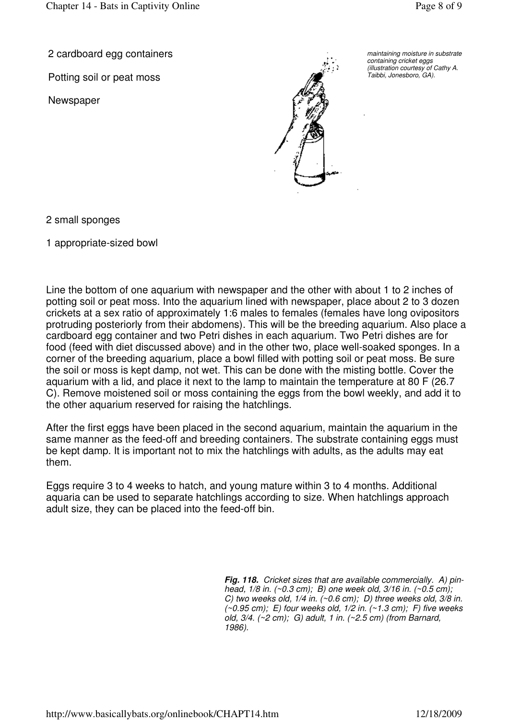2 cardboard egg containers

Potting soil or peat moss

**Newspaper** 



maintaining moisture in substrate containing cricket eggs (illustration courtesy of Cathy A. Taibbi, Jonesboro, GA).

2 small sponges

1 appropriate-sized bowl

Line the bottom of one aquarium with newspaper and the other with about 1 to 2 inches of potting soil or peat moss. Into the aquarium lined with newspaper, place about 2 to 3 dozen crickets at a sex ratio of approximately 1:6 males to females (females have long ovipositors protruding posteriorly from their abdomens). This will be the breeding aquarium. Also place a cardboard egg container and two Petri dishes in each aquarium. Two Petri dishes are for food (feed with diet discussed above) and in the other two, place well-soaked sponges. In a corner of the breeding aquarium, place a bowl filled with potting soil or peat moss. Be sure the soil or moss is kept damp, not wet. This can be done with the misting bottle. Cover the aquarium with a lid, and place it next to the lamp to maintain the temperature at 80 F (26.7 C). Remove moistened soil or moss containing the eggs from the bowl weekly, and add it to the other aquarium reserved for raising the hatchlings.

After the first eggs have been placed in the second aquarium, maintain the aquarium in the same manner as the feed-off and breeding containers. The substrate containing eggs must be kept damp. It is important not to mix the hatchlings with adults, as the adults may eat them.

Eggs require 3 to 4 weeks to hatch, and young mature within 3 to 4 months. Additional aquaria can be used to separate hatchlings according to size. When hatchlings approach adult size, they can be placed into the feed-off bin.

> **Fig. 118.** Cricket sizes that are available commercially. A) pinhead, 1/8 in. (~0.3 cm); B) one week old, 3/16 in. (~0.5 cm); C) two weeks old,  $1/4$  in.  $(\sim 0.6 \text{ cm})$ ; D) three weeks old,  $3/8$  in.  $(\sim 0.95$  cm); E) four weeks old,  $1/2$  in.  $(\sim 1.3$  cm); F) five weeks old, 3/4. (~2 cm); G) adult, 1 in. (~2.5 cm) (from Barnard, 1986).